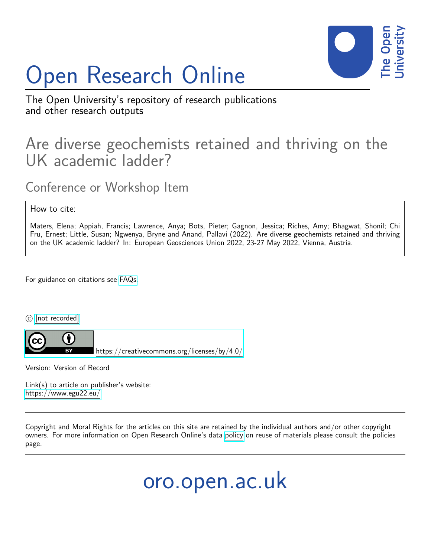## Open Research Online



The Open University's repository of research publications and other research outputs

## Are diverse geochemists retained and thriving on the UK academic ladder?

Conference or Workshop Item

How to cite:

Maters, Elena; Appiah, Francis; Lawrence, Anya; Bots, Pieter; Gagnon, Jessica; Riches, Amy; Bhagwat, Shonil; Chi Fru, Ernest; Little, Susan; Ngwenya, Bryne and Anand, Pallavi (2022). Are diverse geochemists retained and thriving on the UK academic ladder? In: European Geosciences Union 2022, 23-27 May 2022, Vienna, Austria.

For guidance on citations see [FAQs.](http://oro.open.ac.uk/help/helpfaq.html)

 $\circled{c}$  [\[not recorded\]](http://oro.open.ac.uk/help/helpfaq.html#Unrecorded_information_on_coversheet)



<https://creativecommons.org/licenses/by/4.0/>

Version: Version of Record

Link(s) to article on publisher's website: <https://www.egu22.eu/>

Copyright and Moral Rights for the articles on this site are retained by the individual authors and/or other copyright owners. For more information on Open Research Online's data [policy](http://oro.open.ac.uk/policies.html) on reuse of materials please consult the policies page.

oro.open.ac.uk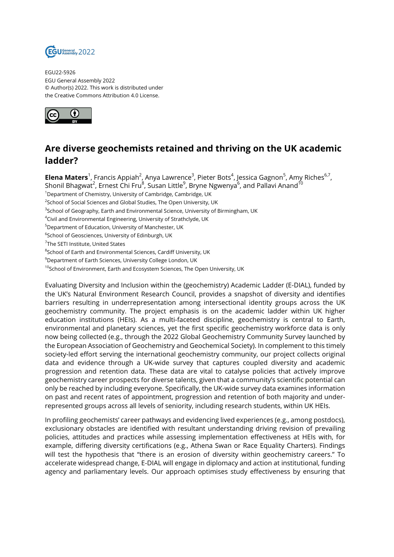

EGU22-5926 EGU General Assembly 2022 © Author(s) 2022. This work is distributed under the Creative Commons Attribution 4.0 License.



## **Are diverse geochemists retained and thriving on the UK academic ladder?**

**Elena Maters**<sup>1</sup>, Francis Appiah<sup>2</sup>, Anya Lawrence<sup>3</sup>, Pieter Bots<sup>4</sup>, Jessica Gagnon<sup>5</sup>, Amy Riches<sup>6,7</sup>, Shonil Bhagwat<sup>2</sup>, Ernest Chi Fru $^8$ , Susan Little $^9$ , Bryne Ngwenya $^6$ , and Pallavi Anand $^{10}$ 

<sup>1</sup>Department of Chemistry, University of Cambridge, Cambridge, UK

 $^{2}$ School of Social Sciences and Global Studies, The Open University, UK

- $^3$ School of Geography, Earth and Environmental Science, University of Birmingham, UK
- <sup>4</sup>Civil and Environmental Engineering, University of Strathclyde, UK
- <sup>5</sup>Department of Education, University of Manchester, UK
- $^6$ School of Geosciences, University of Edinburgh, UK

- $^8$ School of Earth and Environmental Sciences, Cardiff University, UK
- <sup>9</sup>Department of Earth Sciences, University College London, UK
- <sup>10</sup>School of Environment, Earth and Ecosystem Sciences, The Open University, UK

Evaluating Diversity and Inclusion within the (geochemistry) Academic Ladder (E-DIAL), funded by the UK's Natural Environment Research Council, provides a snapshot of diversity and identifies barriers resulting in underrepresentation among intersectional identity groups across the UK geochemistry community. The project emphasis is on the academic ladder within UK higher education institutions (HEIs). As a multi-faceted discipline, geochemistry is central to Earth, environmental and planetary sciences, yet the first specific geochemistry workforce data is only now being collected (e.g., through the 2022 Global Geochemistry Community Survey launched by the European Association of Geochemistry and Geochemical Society). In complement to this timely society-led effort serving the international geochemistry community, our project collects original data and evidence through a UK-wide survey that captures coupled diversity and academic progression and retention data. These data are vital to catalyse policies that actively improve geochemistry career prospects for diverse talents, given that a community's scientific potential can only be reached by including everyone. Specifically, the UK-wide survey data examines information on past and recent rates of appointment, progression and retention of both majority and underrepresented groups across all levels of seniority, including research students, within UK HEIs.

In profiling geochemists' career pathways and evidencing lived experiences (e.g., among postdocs), exclusionary obstacles are identified with resultant understanding driving revision of prevailing policies, attitudes and practices while assessing implementation effectiveness at HEIs with, for example, differing diversity certifications (e.g., Athena Swan or Race Equality Charters). Findings will test the hypothesis that "there is an erosion of diversity within geochemistry careers." To accelerate widespread change, E-DIAL will engage in diplomacy and action at institutional, funding agency and parliamentary levels. Our approach optimises study effectiveness by ensuring that

<sup>&</sup>lt;sup>7</sup>The SETI Institute, United States